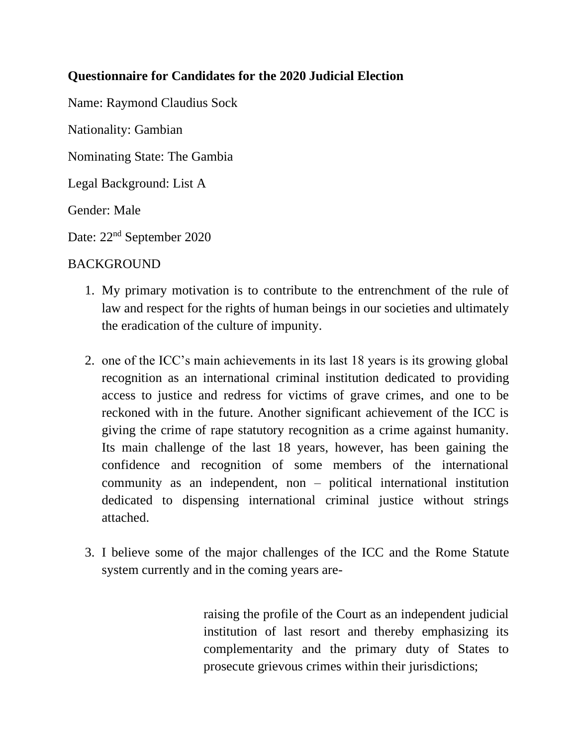### **Questionnaire for Candidates for the 2020 Judicial Election**

Name: Raymond Claudius Sock

Nationality: Gambian

Nominating State: The Gambia

Legal Background: List A

Gender: Male

Date: 22nd September 2020

#### BACKGROUND

- 1. My primary motivation is to contribute to the entrenchment of the rule of law and respect for the rights of human beings in our societies and ultimately the eradication of the culture of impunity.
- 2. one of the ICC's main achievements in its last 18 years is its growing global recognition as an international criminal institution dedicated to providing access to justice and redress for victims of grave crimes, and one to be reckoned with in the future. Another significant achievement of the ICC is giving the crime of rape statutory recognition as a crime against humanity. Its main challenge of the last 18 years, however, has been gaining the confidence and recognition of some members of the international community as an independent, non – political international institution dedicated to dispensing international criminal justice without strings attached.
- 3. I believe some of the major challenges of the ICC and the Rome Statute system currently and in the coming years are-

raising the profile of the Court as an independent judicial institution of last resort and thereby emphasizing its complementarity and the primary duty of States to prosecute grievous crimes within their jurisdictions;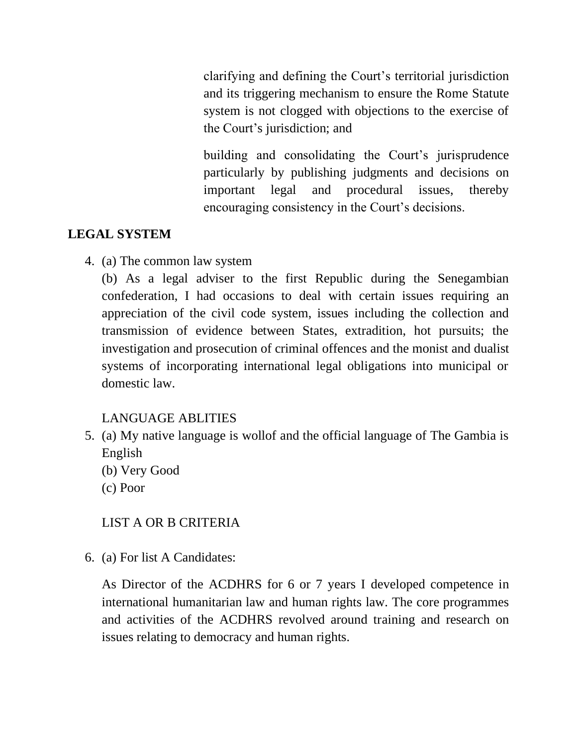clarifying and defining the Court's territorial jurisdiction and its triggering mechanism to ensure the Rome Statute system is not clogged with objections to the exercise of the Court's jurisdiction; and

building and consolidating the Court's jurisprudence particularly by publishing judgments and decisions on important legal and procedural issues, thereby encouraging consistency in the Court's decisions.

### **LEGAL SYSTEM**

4. (a) The common law system

(b) As a legal adviser to the first Republic during the Senegambian confederation, I had occasions to deal with certain issues requiring an appreciation of the civil code system, issues including the collection and transmission of evidence between States, extradition, hot pursuits; the investigation and prosecution of criminal offences and the monist and dualist systems of incorporating international legal obligations into municipal or domestic law.

## LANGUAGE ABLITIES

- 5. (a) My native language is wollof and the official language of The Gambia is English
	- (b) Very Good
	- (c) Poor

### LIST A OR B CRITERIA

6. (a) For list A Candidates:

As Director of the ACDHRS for 6 or 7 years I developed competence in international humanitarian law and human rights law. The core programmes and activities of the ACDHRS revolved around training and research on issues relating to democracy and human rights.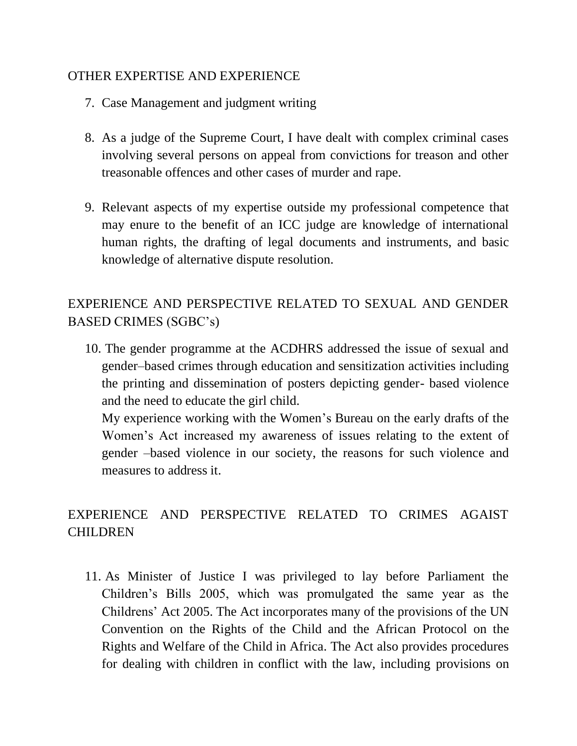#### OTHER EXPERTISE AND EXPERIENCE

- 7. Case Management and judgment writing
- 8. As a judge of the Supreme Court, I have dealt with complex criminal cases involving several persons on appeal from convictions for treason and other treasonable offences and other cases of murder and rape.
- 9. Relevant aspects of my expertise outside my professional competence that may enure to the benefit of an ICC judge are knowledge of international human rights, the drafting of legal documents and instruments, and basic knowledge of alternative dispute resolution.

# EXPERIENCE AND PERSPECTIVE RELATED TO SEXUAL AND GENDER BASED CRIMES (SGBC's)

10. The gender programme at the ACDHRS addressed the issue of sexual and gender–based crimes through education and sensitization activities including the printing and dissemination of posters depicting gender- based violence and the need to educate the girl child.

My experience working with the Women's Bureau on the early drafts of the Women's Act increased my awareness of issues relating to the extent of gender –based violence in our society, the reasons for such violence and measures to address it.

# EXPERIENCE AND PERSPECTIVE RELATED TO CRIMES AGAIST CHILDREN

11. As Minister of Justice I was privileged to lay before Parliament the Children's Bills 2005, which was promulgated the same year as the Childrens' Act 2005. The Act incorporates many of the provisions of the UN Convention on the Rights of the Child and the African Protocol on the Rights and Welfare of the Child in Africa. The Act also provides procedures for dealing with children in conflict with the law, including provisions on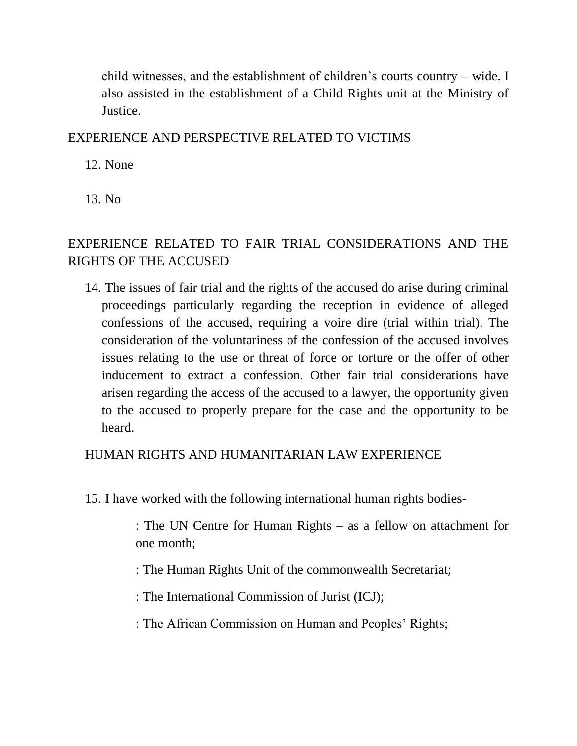child witnesses, and the establishment of children's courts country – wide. I also assisted in the establishment of a Child Rights unit at the Ministry of Justice.

### EXPERIENCE AND PERSPECTIVE RELATED TO VICTIMS

12. None

13. No

## EXPERIENCE RELATED TO FAIR TRIAL CONSIDERATIONS AND THE RIGHTS OF THE ACCUSED

14. The issues of fair trial and the rights of the accused do arise during criminal proceedings particularly regarding the reception in evidence of alleged confessions of the accused, requiring a voire dire (trial within trial). The consideration of the voluntariness of the confession of the accused involves issues relating to the use or threat of force or torture or the offer of other inducement to extract a confession. Other fair trial considerations have arisen regarding the access of the accused to a lawyer, the opportunity given to the accused to properly prepare for the case and the opportunity to be heard.

## HUMAN RIGHTS AND HUMANITARIAN LAW EXPERIENCE

15. I have worked with the following international human rights bodies-

: The UN Centre for Human Rights – as a fellow on attachment for one month;

- : The Human Rights Unit of the commonwealth Secretariat;
- : The International Commission of Jurist (ICJ);
- : The African Commission on Human and Peoples' Rights;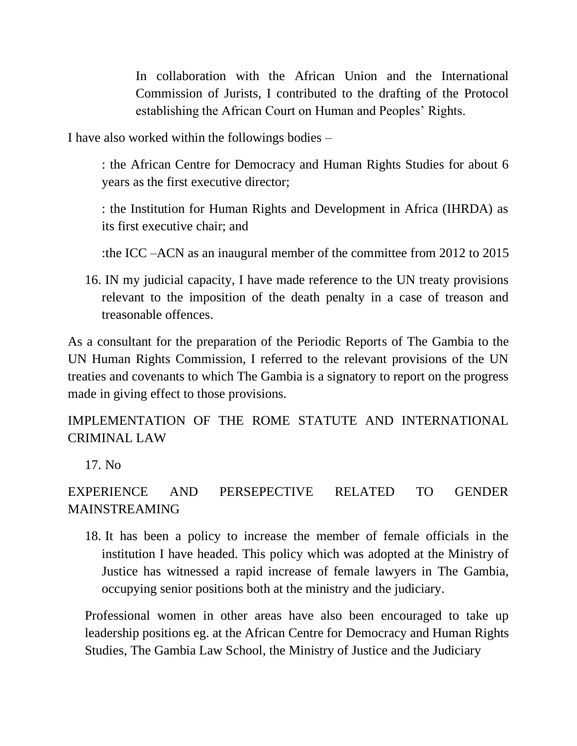In collaboration with the African Union and the International Commission of Jurists, I contributed to the drafting of the Protocol establishing the African Court on Human and Peoples' Rights.

I have also worked within the followings bodies –

: the African Centre for Democracy and Human Rights Studies for about 6 years as the first executive director;

: the Institution for Human Rights and Development in Africa (IHRDA) as its first executive chair; and

:the ICC –ACN as an inaugural member of the committee from 2012 to 2015

16. IN my judicial capacity, I have made reference to the UN treaty provisions relevant to the imposition of the death penalty in a case of treason and treasonable offences.

As a consultant for the preparation of the Periodic Reports of The Gambia to the UN Human Rights Commission, I referred to the relevant provisions of the UN treaties and covenants to which The Gambia is a signatory to report on the progress made in giving effect to those provisions.

IMPLEMENTATION OF THE ROME STATUTE AND INTERNATIONAL CRIMINAL LAW

17. No

EXPERIENCE AND PERSEPECTIVE RELATED TO GENDER MAINSTREAMING

18. It has been a policy to increase the member of female officials in the institution I have headed. This policy which was adopted at the Ministry of Justice has witnessed a rapid increase of female lawyers in The Gambia, occupying senior positions both at the ministry and the judiciary.

Professional women in other areas have also been encouraged to take up leadership positions eg. at the African Centre for Democracy and Human Rights Studies, The Gambia Law School, the Ministry of Justice and the Judiciary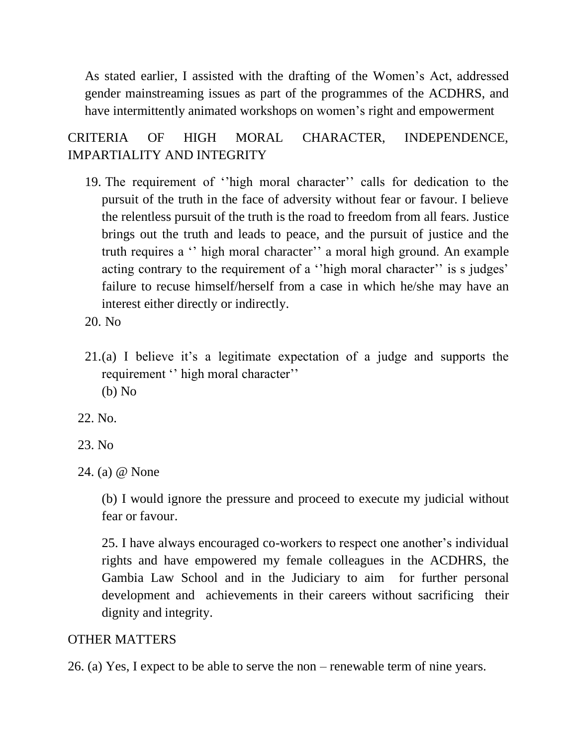As stated earlier, I assisted with the drafting of the Women's Act, addressed gender mainstreaming issues as part of the programmes of the ACDHRS, and have intermittently animated workshops on women's right and empowerment

CRITERIA OF HIGH MORAL CHARACTER, INDEPENDENCE, IMPARTIALITY AND INTEGRITY

- 19. The requirement of ''high moral character'' calls for dedication to the pursuit of the truth in the face of adversity without fear or favour. I believe the relentless pursuit of the truth is the road to freedom from all fears. Justice brings out the truth and leads to peace, and the pursuit of justice and the truth requires a '' high moral character'' a moral high ground. An example acting contrary to the requirement of a ''high moral character'' is s judges' failure to recuse himself/herself from a case in which he/she may have an interest either directly or indirectly.
- 20. No
- 21.(a) I believe it's a legitimate expectation of a judge and supports the requirement '' high moral character'' (b) No
- 22. No.
- 23. No
- 24. (a) @ None

(b) I would ignore the pressure and proceed to execute my judicial without fear or favour.

25. I have always encouraged co-workers to respect one another's individual rights and have empowered my female colleagues in the ACDHRS, the Gambia Law School and in the Judiciary to aim for further personal development and achievements in their careers without sacrificing their dignity and integrity.

#### OTHER MATTERS

26. (a) Yes, I expect to be able to serve the non – renewable term of nine years.